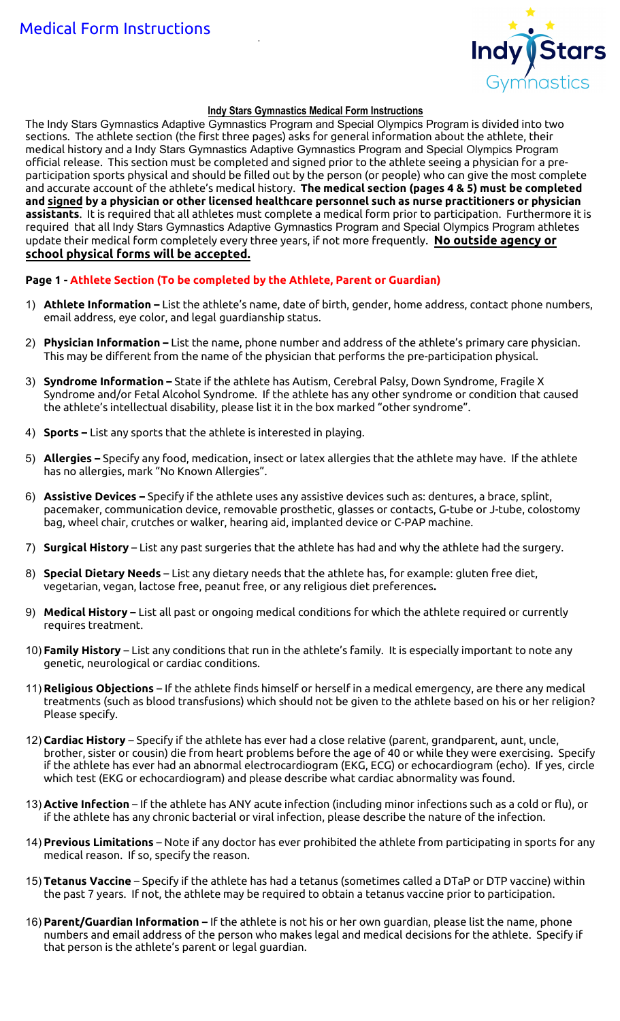

#### **Indy Stars Gymnastics Medical Form Instructions**

The Indy Stars Gymnastics Adaptive Gymnastics Program and Special Olympics Program is divided into two sections. The athlete section (the first three pages) asks for general information about the athlete, their medical history and a Indy Stars Gymnastics Adaptive Gymnastics Program and Special Olympics Program official release. This section must be completed and signed prior to the athlete seeing a physician for a preparticipation sports physical and should be filled out by the person (or people) who can give the most complete and accurate account of the athlete's medical history. **The medical section (pages 4 & 5) must be completed and signed by a physician or other licensed healthcare personnel such as nurse practitioners or physician assistants**. It is required that all athletes must complete a medical form prior to participation. Furthermore it is required that all Indy Stars Gymnastics Adaptive Gymnastics Program and Special Olympics Program athletes update their medical form completely every three years, if not more frequently. **No outside agency or school physical forms will be accepted.**

#### **Page 1 - Athlete Section (To be completed by the Athlete, Parent or Guardian)**

- 1) **Athlete Information –** List the athlete's name, date of birth, gender, home address, contact phone numbers, email address, eye color, and legal guardianship status.
- 2) **Physician Information –** List the name, phone number and address of the athlete's primary care physician. This may be different from the name of the physician that performs the pre-participation physical.
- 3) **Syndrome Information –** State if the athlete has Autism, Cerebral Palsy, Down Syndrome, Fragile X Syndrome and/or Fetal Alcohol Syndrome. If the athlete has any other syndrome or condition that caused the athlete's intellectual disability, please list it in the box marked "other syndrome".
- 4) **Sports –** List any sports that the athlete is interested in playing.
- 5) **Allergies –** Specify any food, medication, insect or latex allergies that the athlete may have. If the athlete has no allergies, mark "No Known Allergies".
- 6) **Assistive Devices –** Specify if the athlete uses any assistive devices such as: dentures, a brace, splint, pacemaker, communication device, removable prosthetic, glasses or contacts, G-tube or J-tube, colostomy bag, wheel chair, crutches or walker, hearing aid, implanted device or C-PAP machine.
- 7) **Surgical History** List any past surgeries that the athlete has had and why the athlete had the surgery.
- 8) **Special Dietary Needs**  List any dietary needs that the athlete has, for example: gluten free diet, vegetarian, vegan, lactose free, peanut free, or any religious diet preferences**.**
- 9) **Medical History –** List all past or ongoing medical conditions for which the athlete required or currently requires treatment.
- 10) **Family History** List any conditions that run in the athlete's family. It is especially important to note any genetic, neurological or cardiac conditions.
- 11) **Religious Objections**  If the athlete finds himself or herself in a medical emergency, are there any medical treatments (such as blood transfusions) which should not be given to the athlete based on his or her religion? Please specify.
- 12) **Cardiac History**  Specify if the athlete has ever had a close relative (parent, grandparent, aunt, uncle, brother, sister or cousin) die from heart problems before the age of 40 or while they were exercising. Specify if the athlete has ever had an abnormal electrocardiogram (EKG, ECG) or echocardiogram (echo). If yes, circle which test (EKG or echocardiogram) and please describe what cardiac abnormality was found.
- 13) **Active Infection**  If the athlete has ANY acute infection (including minor infections such as a cold or flu), or if the athlete has any chronic bacterial or viral infection, please describe the nature of the infection.
- 14) **Previous Limitations**  Note if any doctor has ever prohibited the athlete from participating in sports for any medical reason. If so, specify the reason.
- 15) **Tetanus Vaccine**  Specify if the athlete has had a tetanus (sometimes called a DTaP or DTP vaccine) within the past 7 years. If not, the athlete may be required to obtain a tetanus vaccine prior to participation.
- 16) **Parent/Guardian Information –** If the athlete is not his or her own guardian, please list the name, phone numbers and email address of the person who makes legal and medical decisions for the athlete. Specify if that person is the athlete's parent or legal guardian.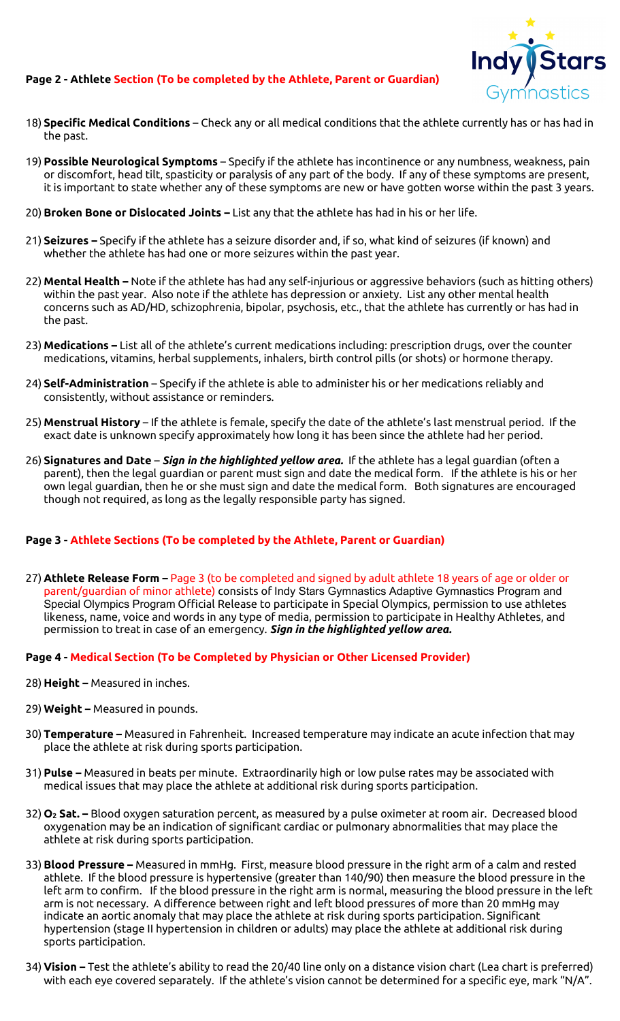#### **Page 2 - Athlete Section (To be completed by the Athlete, Parent or Guardian)**



- 18) **Specific Medical Conditions**  Check any or all medical conditions that the athlete currently has or has had in the past.
- 19) **Possible Neurological Symptoms** Specify if the athlete has incontinence or any numbness, weakness, pain or discomfort, head tilt, spasticity or paralysis of any part of the body. If any of these symptoms are present, it is important to state whether any of these symptoms are new or have gotten worse within the past 3 years.
- 20) **Broken Bone or Dislocated Joints –** List any that the athlete has had in his or her life.
- 21) **Seizures –** Specify if the athlete has a seizure disorder and, if so, what kind of seizures (if known) and whether the athlete has had one or more seizures within the past year.
- 22) **Mental Health –** Note if the athlete has had any self-injurious or aggressive behaviors (such as hitting others) within the past year. Also note if the athlete has depression or anxiety. List any other mental health concerns such as AD/HD, schizophrenia, bipolar, psychosis, etc., that the athlete has currently or has had in the past.
- 23) **Medications –** List all of the athlete's current medications including: prescription drugs, over the counter medications, vitamins, herbal supplements, inhalers, birth control pills (or shots) or hormone therapy.
- 24) **Self-Administration** Specify if the athlete is able to administer his or her medications reliably and consistently, without assistance or reminders.
- 25) **Menstrual History**  If the athlete is female, specify the date of the athlete's last menstrual period. If the exact date is unknown specify approximately how long it has been since the athlete had her period.
- 26) **Signatures and Date**  *Sign in the highlighted yellow area.* If the athlete has a legal guardian (often a parent), then the legal guardian or parent must sign and date the medical form. If the athlete is his or her own legal guardian, then he or she must sign and date the medical form. Both signatures are encouraged though not required, as long as the legally responsible party has signed.

#### **Page 3 - Athlete Sections (To be completed by the Athlete, Parent or Guardian)**

27) **Athlete Release Form –** Page 3 (to be completed and signed by adult athlete 18 years of age or older or parent/guardian of minor athlete) consists of Indy Stars Gymnastics Adaptive Gymnastics Program and Special Olympics Program Official Release to participate in Special Olympics, permission to use athletes likeness, name, voice and words in any type of media, permission to participate in Healthy Athletes, and permission to treat in case of an emergency. *Sign in the highlighted yellow area.*

#### **Page 4 - Medical Section (To be Completed by Physician or Other Licensed Provider)**

- 28) **Height –** Measured in inches.
- 29) **Weight –** Measured in pounds.
- 30) **Temperature –** Measured in Fahrenheit. Increased temperature may indicate an acute infection that may place the athlete at risk during sports participation.
- 31) **Pulse –** Measured in beats per minute. Extraordinarily high or low pulse rates may be associated with medical issues that may place the athlete at additional risk during sports participation.
- 32) **O2 Sat. –** Blood oxygen saturation percent, as measured by a pulse oximeter at room air. Decreased blood oxygenation may be an indication of significant cardiac or pulmonary abnormalities that may place the athlete at risk during sports participation.
- 33) **Blood Pressure –** Measured in mmHg. First, measure blood pressure in the right arm of a calm and rested athlete. If the blood pressure is hypertensive (greater than 140/90) then measure the blood pressure in the left arm to confirm. If the blood pressure in the right arm is normal, measuring the blood pressure in the left arm is not necessary. A difference between right and left blood pressures of more than 20 mmHg may indicate an aortic anomaly that may place the athlete at risk during sports participation. Significant hypertension (stage II hypertension in children or adults) may place the athlete at additional risk during sports participation.
- 34) **Vision –** Test the athlete's ability to read the 20/40 line only on a distance vision chart (Lea chart is preferred) with each eye covered separately. If the athlete's vision cannot be determined for a specific eye, mark "N/A".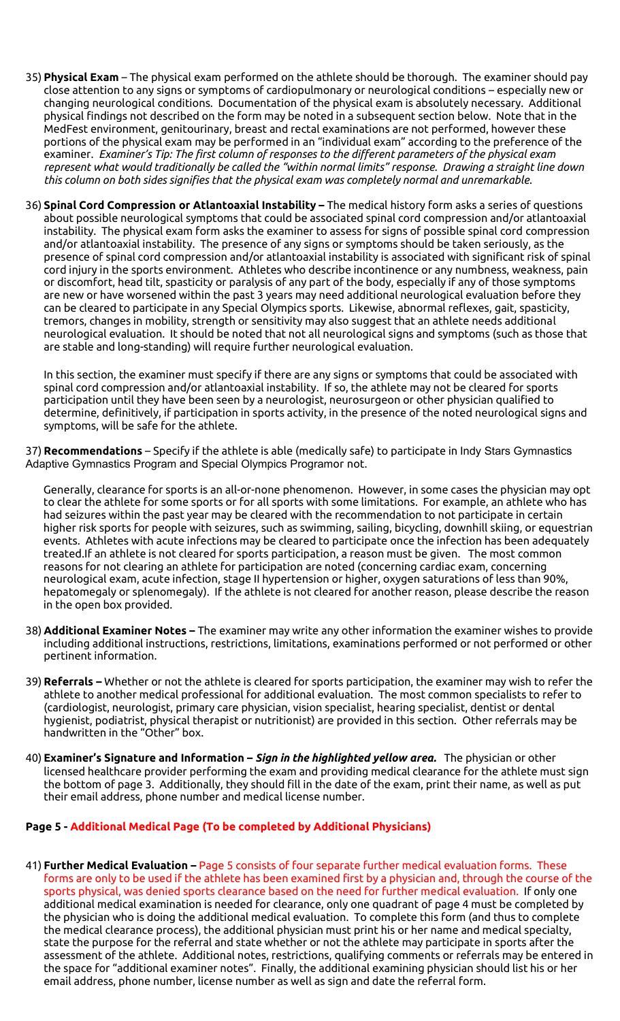- 35) **Physical Exam**  The physical exam performed on the athlete should be thorough. The examiner should pay close attention to any signs or symptoms of cardiopulmonary or neurological conditions – especially new or changing neurological conditions. Documentation of the physical exam is absolutely necessary. Additional physical findings not described on the form may be noted in a subsequent section below. Note that in the MedFest environment, genitourinary, breast and rectal examinations are not performed, however these portions of the physical exam may be performed in an "individual exam" according to the preference of the examiner. *Examiner's Tip: The first column of responses to the different parameters of the physical exam represent what would traditionally be called the "within normal limits" response. Drawing a straight line down this column on both sides signifies that the physical exam was completely normal and unremarkable.*
- 36) **Spinal Cord Compression or Atlantoaxial Instability –** The medical history form asks a series of questions about possible neurological symptoms that could be associated spinal cord compression and/or atlantoaxial instability. The physical exam form asks the examiner to assess for signs of possible spinal cord compression and/or atlantoaxial instability. The presence of any signs or symptoms should be taken seriously, as the presence of spinal cord compression and/or atlantoaxial instability is associated with significant risk of spinal cord injury in the sports environment. Athletes who describe incontinence or any numbness, weakness, pain or discomfort, head tilt, spasticity or paralysis of any part of the body, especially if any of those symptoms are new or have worsened within the past 3 years may need additional neurological evaluation before they can be cleared to participate in any Special Olympics sports. Likewise, abnormal reflexes, gait, spasticity, tremors, changes in mobility, strength or sensitivity may also suggest that an athlete needs additional neurological evaluation. It should be noted that not all neurological signs and symptoms (such as those that are stable and long-standing) will require further neurological evaluation.

In this section, the examiner must specify if there are any signs or symptoms that could be associated with spinal cord compression and/or atlantoaxial instability. If so, the athlete may not be cleared for sports participation until they have been seen by a neurologist, neurosurgeon or other physician qualified to determine, definitively, if participation in sports activity, in the presence of the noted neurological signs and symptoms, will be safe for the athlete.

37) **Recommendations** – Specify if the athlete is able (medically safe) to participate in Indy Stars Gymnastics Adaptive Gymnastics Program and Special Olympics Programor not.

Generally, clearance for sports is an all-or-none phenomenon. However, in some cases the physician may opt to clear the athlete for some sports or for all sports with some limitations. For example, an athlete who has had seizures within the past year may be cleared with the recommendation to not participate in certain higher risk sports for people with seizures, such as swimming, sailing, bicycling, downhill skiing, or equestrian events. Athletes with acute infections may be cleared to participate once the infection has been adequately treated.If an athlete is not cleared for sports participation, a reason must be given. The most common reasons for not clearing an athlete for participation are noted (concerning cardiac exam, concerning neurological exam, acute infection, stage II hypertension or higher, oxygen saturations of less than 90%, hepatomegaly or splenomegaly). If the athlete is not cleared for another reason, please describe the reason in the open box provided.

- 38) **Additional Examiner Notes –** The examiner may write any other information the examiner wishes to provide including additional instructions, restrictions, limitations, examinations performed or not performed or other pertinent information.
- 39) **Referrals –** Whether or not the athlete is cleared for sports participation, the examiner may wish to refer the athlete to another medical professional for additional evaluation. The most common specialists to refer to (cardiologist, neurologist, primary care physician, vision specialist, hearing specialist, dentist or dental hygienist, podiatrist, physical therapist or nutritionist) are provided in this section.Other referrals may be handwritten in the "Other" box.
- 40) **Examiner's Signature and Information –** *Sign in the highlighted yellow area.* The physician or other licensed healthcare provider performing the exam and providing medical clearance for the athlete must sign the bottom of page 3. Additionally, they should fill in the date of the exam, print their name, as well as put their email address, phone number and medical license number.

#### **Page 5 - Additional Medical Page (To be completed by Additional Physicians)**

41) **Further Medical Evaluation –** Page 5 consists of four separate further medical evaluation forms. These forms are only to be used if the athlete has been examined first by a physician and, through the course of the sports physical, was denied sports clearance based on the need for further medical evaluation. If only one additional medical examination is needed for clearance, only one quadrant of page 4 must be completed by the physician who is doing the additional medical evaluation. To complete this form (and thus to complete the medical clearance process), the additional physician must print his or her name and medical specialty, state the purpose for the referral and state whether or not the athlete may participate in sports after the assessment of the athlete. Additional notes, restrictions, qualifying comments or referrals may be entered in the space for "additional examiner notes". Finally, the additional examining physician should list his or her email address, phone number, license number as well as sign and date the referral form.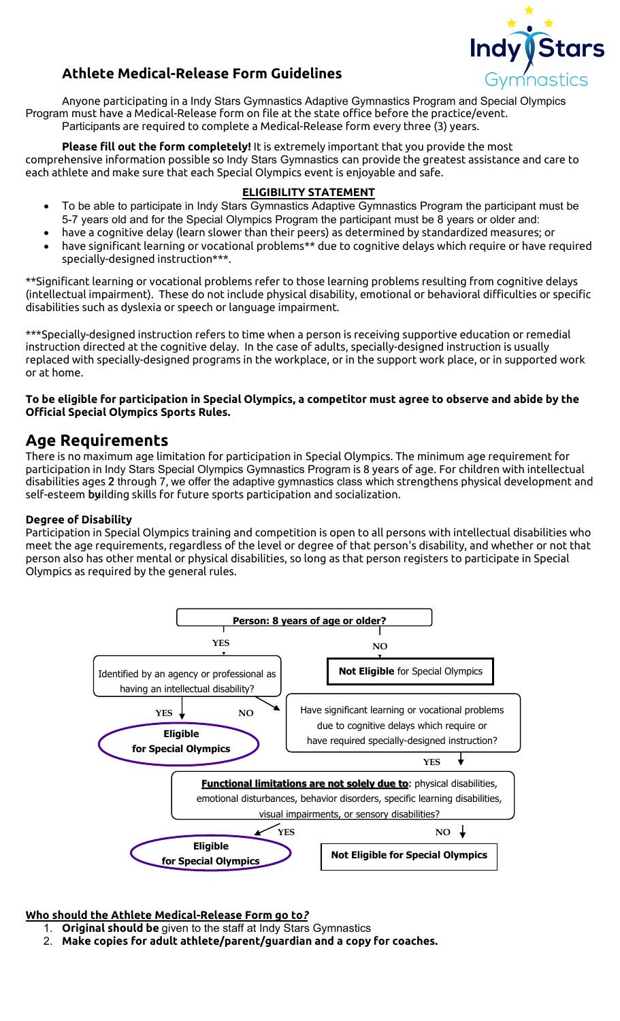

# **Athlete Medical-Release Form Guidelines**

Anyone participating in a Indy Stars Gymnastics Adaptive Gymnastics Program and Special Olympics Program must have a Medical-Release form on file at the state office before the practice/event. Participants are required to complete a Medical-Release form every three (3) years.

**Please fill out the form completely!** It is extremely important that you provide the most comprehensive information possible so Indy Stars Gymnastics can provide the greatest assistance and care to each athlete and make sure that each Special Olympics event is enjoyable and safe.

#### **ELIGIBILITY STATEMENT**

- To be able to participate in Indy Stars Gymnastics Adaptive Gymnastics Program the participant must be 5-7 years old and for the Special Olympics Program the participant must be 8 years or older and:
- have a cognitive delay (learn slower than their peers) as determined by standardized measures; or
- have significant learning or vocational problems\*\* due to cognitive delays which require or have required specially-designed instruction\*\*\*.

\*\*Significant learning or vocational problems refer to those learning problems resulting from cognitive delays (intellectual impairment). These do not include physical disability, emotional or behavioral difficulties or specific disabilities such as dyslexia or speech or language impairment.

\*\*\*Specially-designed instruction refers to time when a person is receiving supportive education or remedial instruction directed at the cognitive delay. In the case of adults, specially-designed instruction is usually replaced with specially-designed programs in the workplace, or in the support work place, or in supported work or at home.

#### **To be eligible for participation in Special Olympics, a competitor must agree to observe and abide by the Official Special Olympics Sports Rules.**

## **Age Requirements**

There is no maximum age limitation for participation in Special Olympics. The minimum age requirement for participation in Indy Stars Special Olympics Gymnastics Program is 8 years of age. For children with intellectual disabilities ages 2 through 7, we offer the adaptive gymnastics class which strengthens physical development and self-esteem byilding skills for future sports participation and socialization.

#### **Degree of Disability**

Participation in Special Olympics training and competition is open to all persons with intellectual disabilities who meet the age requirements, regardless of the level or degree of that person's disability, and whether or not that person also has other mental or physical disabilities, so long as that person registers to participate in Special Olympics as required by the general rules.



#### **Who should the Athlete Medical-Release Form go to***?*

- 1. **Original should be** given to the staff at Indy Stars Gymnastics
- 2. **Make copies for adult athlete/parent/guardian and a copy for coaches.**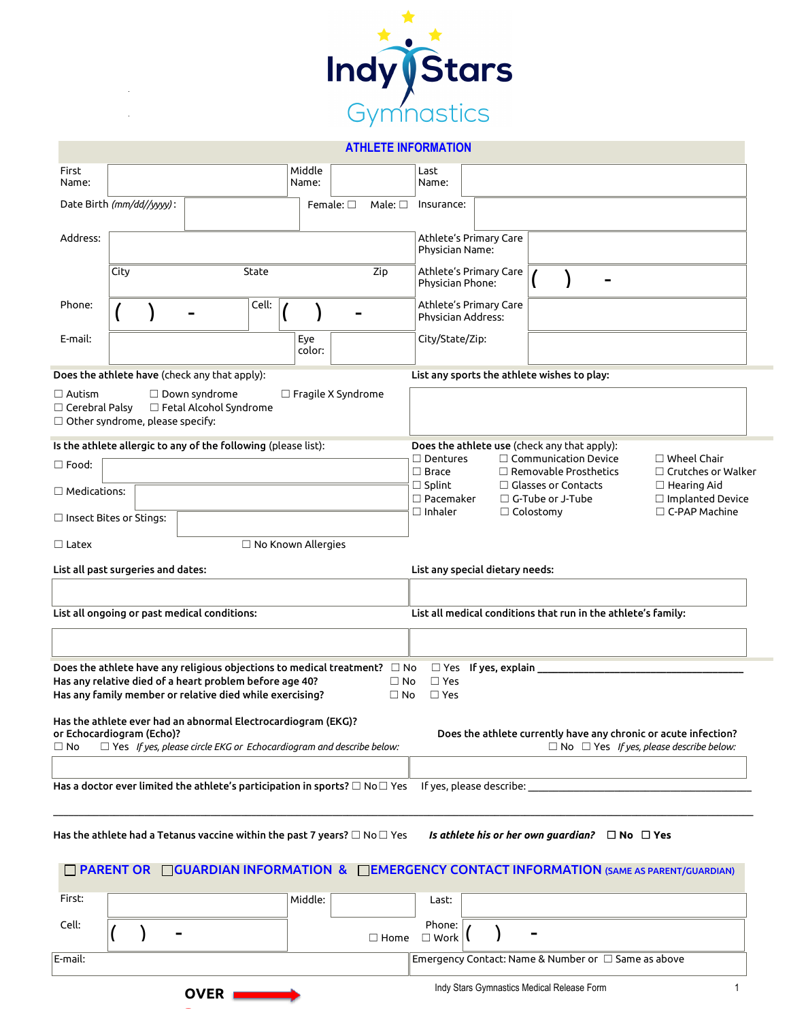

#### **ATHLETE INFORMATION**

| First<br>Name:                                                                                                |      |  |                                                                                                                                                                                                                                                                                                     |                           | Middle<br>Name: |                   |                           | Last<br>Name:                                      |                                                                                                                                   |                            |  |                                                          |  |                                                                                                |
|---------------------------------------------------------------------------------------------------------------|------|--|-----------------------------------------------------------------------------------------------------------------------------------------------------------------------------------------------------------------------------------------------------------------------------------------------------|---------------------------|-----------------|-------------------|---------------------------|----------------------------------------------------|-----------------------------------------------------------------------------------------------------------------------------------|----------------------------|--|----------------------------------------------------------|--|------------------------------------------------------------------------------------------------|
| Date Birth (mm/dd//yyyy):                                                                                     |      |  |                                                                                                                                                                                                                                                                                                     |                           |                 | Female: $\square$ | Male: $\square$           | Insurance:                                         |                                                                                                                                   |                            |  |                                                          |  |                                                                                                |
| Address:                                                                                                      |      |  |                                                                                                                                                                                                                                                                                                     |                           |                 |                   |                           | Physician Name:                                    |                                                                                                                                   | Athlete's Primary Care     |  |                                                          |  |                                                                                                |
|                                                                                                               | City |  |                                                                                                                                                                                                                                                                                                     | State                     |                 |                   | Zip                       | Physician Phone:                                   |                                                                                                                                   | Athlete's Primary Care     |  |                                                          |  |                                                                                                |
| Phone:                                                                                                        |      |  |                                                                                                                                                                                                                                                                                                     | Cell:                     |                 |                   |                           | Physician Address:                                 |                                                                                                                                   | Athlete's Primary Care     |  |                                                          |  |                                                                                                |
| E-mail:                                                                                                       |      |  |                                                                                                                                                                                                                                                                                                     |                           | Eye             | color:            |                           | City/State/Zip:                                    |                                                                                                                                   |                            |  |                                                          |  |                                                                                                |
|                                                                                                               |      |  | Does the athlete have (check any that apply):                                                                                                                                                                                                                                                       |                           |                 |                   |                           |                                                    |                                                                                                                                   |                            |  | List any sports the athlete wishes to play:              |  |                                                                                                |
| $\square$ Autism<br>$\Box$ Cerebral Palsy<br>$\Box$ Other syndrome, please specify:                           |      |  | $\Box$ Down syndrome<br>$\Box$ Fetal Alcohol Syndrome                                                                                                                                                                                                                                               |                           |                 |                   | $\Box$ Fragile X Syndrome |                                                    |                                                                                                                                   |                            |  |                                                          |  |                                                                                                |
|                                                                                                               |      |  | Is the athlete allergic to any of the following (please list):                                                                                                                                                                                                                                      |                           |                 |                   |                           |                                                    |                                                                                                                                   |                            |  | Does the athlete use (check any that apply):             |  |                                                                                                |
| $\square$ Food:                                                                                               |      |  |                                                                                                                                                                                                                                                                                                     |                           |                 |                   |                           | $\square$ Brace                                    | $\Box$ Communication Device<br>$\Box$ Dentures<br>$\Box$ Wheel Chair<br>$\Box$ Removable Prosthetics<br>$\Box$ Crutches or Walker |                            |  |                                                          |  |                                                                                                |
| $\square$ Medications:                                                                                        |      |  |                                                                                                                                                                                                                                                                                                     |                           |                 |                   |                           | $\square$ Splint                                   |                                                                                                                                   |                            |  | $\Box$ Glasses or Contacts                               |  | $\Box$ Hearing Aid                                                                             |
|                                                                                                               |      |  |                                                                                                                                                                                                                                                                                                     |                           |                 |                   |                           | $\square$ Pacemaker<br>$\square$ Inhaler           |                                                                                                                                   |                            |  | $\Box$ G-Tube or J-Tube                                  |  | $\Box$ Implanted Device<br>$\Box$ C-PAP Machine                                                |
| $\Box$ Colostomy<br>$\Box$ Insect Bites or Stings:                                                            |      |  |                                                                                                                                                                                                                                                                                                     |                           |                 |                   |                           |                                                    |                                                                                                                                   |                            |  |                                                          |  |                                                                                                |
| $\Box$ Latex                                                                                                  |      |  |                                                                                                                                                                                                                                                                                                     | $\Box$ No Known Allergies |                 |                   |                           |                                                    |                                                                                                                                   |                            |  |                                                          |  |                                                                                                |
| List all past surgeries and dates:<br>List any special dietary needs:                                         |      |  |                                                                                                                                                                                                                                                                                                     |                           |                 |                   |                           |                                                    |                                                                                                                                   |                            |  |                                                          |  |                                                                                                |
|                                                                                                               |      |  |                                                                                                                                                                                                                                                                                                     |                           |                 |                   |                           |                                                    |                                                                                                                                   |                            |  |                                                          |  |                                                                                                |
|                                                                                                               |      |  |                                                                                                                                                                                                                                                                                                     |                           |                 |                   |                           |                                                    |                                                                                                                                   |                            |  |                                                          |  |                                                                                                |
| List all ongoing or past medical conditions:<br>List all medical conditions that run in the athlete's family: |      |  |                                                                                                                                                                                                                                                                                                     |                           |                 |                   |                           |                                                    |                                                                                                                                   |                            |  |                                                          |  |                                                                                                |
|                                                                                                               |      |  |                                                                                                                                                                                                                                                                                                     |                           |                 |                   |                           |                                                    |                                                                                                                                   |                            |  |                                                          |  |                                                                                                |
|                                                                                                               |      |  | Does the athlete have any religious objections to medical treatment? $\Box$ No<br>Has any relative died of a heart problem before age 40?<br>Has any family member or relative died while exercising?<br>Has the athlete ever had an abnormal Electrocardiogram (EKG)?<br>or Echocardiogram (Echo)? |                           |                 |                   |                           | $\Box$ Yes<br>$\Box$ No<br>$\Box$ Yes<br>$\Box$ No |                                                                                                                                   | $\Box$ Yes If yes, explain |  |                                                          |  | Does the athlete currently have any chronic or acute infection?                                |
| $\Box$ No                                                                                                     |      |  | $\Box$ Yes If yes, please circle EKG or Echocardiogram and describe below:                                                                                                                                                                                                                          |                           |                 |                   |                           |                                                    |                                                                                                                                   |                            |  |                                                          |  | $\Box$ No $\Box$ Yes If yes, please describe below:                                            |
|                                                                                                               |      |  |                                                                                                                                                                                                                                                                                                     |                           |                 |                   |                           |                                                    |                                                                                                                                   |                            |  |                                                          |  |                                                                                                |
|                                                                                                               |      |  | Has a doctor ever limited the athlete's participation in sports? $\Box$ No $\Box$ Yes                                                                                                                                                                                                               |                           |                 |                   |                           |                                                    |                                                                                                                                   | If yes, please describe:   |  |                                                          |  |                                                                                                |
|                                                                                                               |      |  |                                                                                                                                                                                                                                                                                                     |                           |                 |                   |                           |                                                    |                                                                                                                                   |                            |  |                                                          |  |                                                                                                |
|                                                                                                               |      |  | Has the athlete had a Tetanus vaccine within the past 7 years? $\Box$ No $\Box$ Yes                                                                                                                                                                                                                 |                           |                 |                   |                           |                                                    |                                                                                                                                   |                            |  | Is athlete his or her own guardian? $\Box$ No $\Box$ Yes |  | □ PARENT OR □ GUARDIAN INFORMATION & □ EMERGENCY CONTACT INFORMATION (SAME AS PARENT/GUARDIAN) |
| First:                                                                                                        |      |  |                                                                                                                                                                                                                                                                                                     |                           | Middle:         |                   |                           | Last:                                              |                                                                                                                                   |                            |  |                                                          |  |                                                                                                |
| Cell:                                                                                                         |      |  |                                                                                                                                                                                                                                                                                                     |                           |                 |                   |                           | Phone:                                             |                                                                                                                                   |                            |  |                                                          |  |                                                                                                |
|                                                                                                               |      |  |                                                                                                                                                                                                                                                                                                     |                           |                 |                   | $\square$ Home            | $\square$ Work                                     |                                                                                                                                   |                            |  |                                                          |  |                                                                                                |
| E-mail:                                                                                                       |      |  |                                                                                                                                                                                                                                                                                                     |                           |                 |                   |                           |                                                    |                                                                                                                                   |                            |  | Emergency Contact: Name & Number or □ Same as above      |  |                                                                                                |
|                                                                                                               |      |  |                                                                                                                                                                                                                                                                                                     |                           |                 |                   |                           |                                                    |                                                                                                                                   |                            |  |                                                          |  |                                                                                                |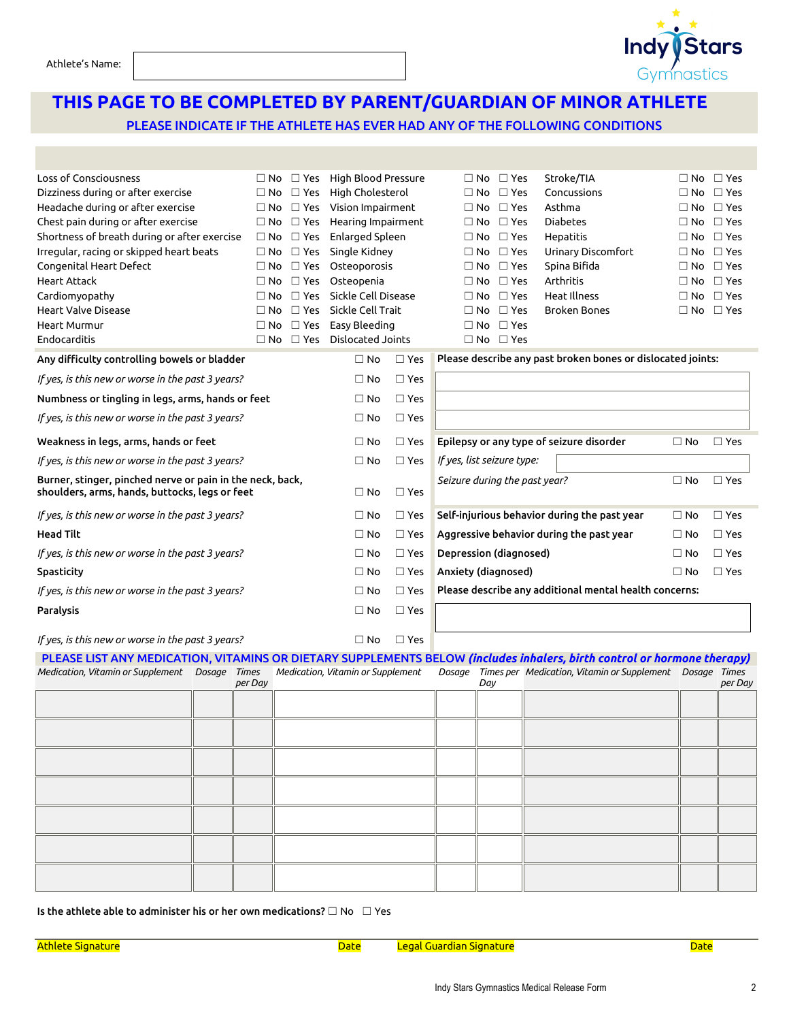# **THIS PAGE TO BE COMPLETED BY PARENT/GUARDIAN OF MINOR ATHLETE**

PLEASE INDICATE IF THE ATHLETE HAS EVER HAD ANY OF THE FOLLOWING CONDITIONS

| Loss of Consciousness                                                                                       | ∩ No                       | $\square$ Yes | High Blood Pressure                    |               | $\Box$ No                                              | $\square$ Yes        | Stroke/TIA                                                  |              | $\Box$ No $\Box$ Yes |
|-------------------------------------------------------------------------------------------------------------|----------------------------|---------------|----------------------------------------|---------------|--------------------------------------------------------|----------------------|-------------------------------------------------------------|--------------|----------------------|
| Dizziness during or after exercise<br>$\square$ Yes<br>$\square$ No                                         |                            |               | High Cholesterol                       |               | $\Box$ No                                              | $\Box$ Yes           | Concussions                                                 | $\Box$ No    | $\square$ Yes        |
| Headache during or after exercise<br>$\Box$ No $\Box$ Yes                                                   |                            |               | Vision Impairment                      |               | $\Box$ No                                              | $\Box$ Yes           | Asthma                                                      |              | $\Box$ No $\Box$ Yes |
| Chest pain during or after exercise<br>$\Box$ No<br>$\square$ Yes                                           |                            |               | Hearing Impairment                     |               | $\Box$ No                                              | $\Box$ Yes           | <b>Diabetes</b>                                             | $\Box$ No    | $\Box$ Yes           |
| Shortness of breath during or after exercise                                                                | $\square$ No               | $\square$ Yes | Enlarged Spleen                        |               | $\Box$ No                                              | $\Box$ Yes           | Hepatitis                                                   | $\Box$ No    | $\Box$ Yes           |
| Irregular, racing or skipped heart beats                                                                    | $\Box$ No $\Box$ Yes       |               |                                        | Single Kidney | $\Box$ No                                              | $\square$ Yes        | <b>Urinary Discomfort</b>                                   | $\Box$ No    | $\square$ Yes        |
| Congenital Heart Defect                                                                                     | $\Box$ Yes<br>$\square$ No |               |                                        | Osteoporosis  | $\Box$ No                                              | $\Box$ Yes           | Spina Bifida                                                | $\square$ No | $\Box$ Yes           |
| <b>Heart Attack</b>                                                                                         | $\square$ No               | $\square$ Yes | Osteopenia                             |               | $\Box$ No                                              | $\Box$ Yes           | Arthritis                                                   | $\Box$ No    | $\Box$ Yes           |
| Cardiomyopathy                                                                                              | $\Box$ No                  | $\Box$ Yes    | Sickle Cell Disease                    |               | $\Box$ No                                              | $\Box$ Yes           | <b>Heat Illness</b>                                         | $\Box$ No    | $\Box$ Yes           |
| <b>Heart Valve Disease</b>                                                                                  | $\Box$ No                  | $\Box$ Yes    | Sickle Cell Trait                      |               | $\Box$ No                                              | $\Box$ Yes           | Broken Bones                                                |              | $\Box$ No $\Box$ Yes |
| <b>Heart Murmur</b>                                                                                         | $\Box$ No                  | $\square$ Yes | Easy Bleeding                          |               | $\Box$ No                                              | $\Box$ Yes           |                                                             |              |                      |
| Endocarditis                                                                                                |                            |               | $\Box$ No $\Box$ Yes Dislocated Joints |               |                                                        | $\Box$ No $\Box$ Yes |                                                             |              |                      |
| Any difficulty controlling bowels or bladder                                                                |                            |               | $\Box$ No                              | $\Box$ Yes    |                                                        |                      | Please describe any past broken bones or dislocated joints: |              |                      |
| If yes, is this new or worse in the past 3 years?                                                           | $\Box$ No                  | $\square$ Yes |                                        |               |                                                        |                      |                                                             |              |                      |
| Numbness or tingling in legs, arms, hands or feet                                                           | $\Box$ No                  | $\square$ Yes |                                        |               |                                                        |                      |                                                             |              |                      |
| If yes, is this new or worse in the past 3 years?                                                           | $\Box$ No                  | $\square$ Yes |                                        |               |                                                        |                      |                                                             |              |                      |
| Weakness in legs, arms, hands or feet                                                                       | $\Box$ No                  | $\Box$ Yes    |                                        |               | Epilepsy or any type of seizure disorder               | $\Box$ No            | $\Box$ Yes                                                  |              |                      |
| If yes, is this new or worse in the past 3 years?                                                           | $\Box$ No                  | $\square$ Yes | If yes, list seizure type:             |               |                                                        |                      |                                                             |              |                      |
| Burner, stinger, pinched nerve or pain in the neck, back,<br>shoulders, arms, hands, buttocks, legs or feet |                            |               | $\Box$ No                              | $\square$ Yes | Seizure during the past year?                          |                      |                                                             | $\Box$ No    | $\Box$ Yes           |
| If yes, is this new or worse in the past 3 years?                                                           |                            |               | $\Box$ No                              | $\square$ Yes |                                                        |                      | Self-injurious behavior during the past year                | $\Box$ No    | $\Box$ Yes           |
| <b>Head Tilt</b>                                                                                            |                            |               | $\Box$ No                              | $\Box$ Yes    | Aggressive behavior during the past year               |                      | $\Box$ No                                                   | $\Box$ Yes   |                      |
| If yes, is this new or worse in the past 3 years?                                                           |                            |               | $\Box$ No                              | $\square$ Yes | Depression (diagnosed)                                 |                      | $\Box$ No                                                   | $\Box$ Yes   |                      |
| Spasticity                                                                                                  | $\Box$ No                  | $\square$ Yes | Anxiety (diagnosed)                    |               |                                                        | $\Box$ No            | $\Box$ Yes                                                  |              |                      |
| If yes, is this new or worse in the past 3 years?                                                           | $\Box$ No                  | $\square$ Yes |                                        |               | Please describe any additional mental health concerns: |                      |                                                             |              |                      |
| <b>Paralysis</b>                                                                                            | $\Box$ No                  | $\square$ Yes |                                        |               |                                                        |                      |                                                             |              |                      |
| If yes, is this new or worse in the past 3 years?                                                           |                            |               | $\Box$ No                              | $\square$ Yes |                                                        |                      |                                                             |              |                      |
|                                                                                                             |                            |               |                                        |               |                                                        |                      |                                                             |              |                      |

|  |         | PLEASE LIST ANY MEDICATION, VITAMINS OR DIETARY SUPPLEMENTS BELOW (includes inhalers, birth control or hormone therapy)                          |     |  |         |
|--|---------|--------------------------------------------------------------------------------------------------------------------------------------------------|-----|--|---------|
|  |         | Medication, Vitamin or Supplement Dosage Times Medication, Vitamin or Supplement Dosage Times per Medication, Vitamin or Supplement Dosage Times |     |  |         |
|  | per Day |                                                                                                                                                  | Day |  | per Day |
|  |         |                                                                                                                                                  |     |  |         |
|  |         |                                                                                                                                                  |     |  |         |
|  |         |                                                                                                                                                  |     |  |         |
|  |         |                                                                                                                                                  |     |  |         |
|  |         |                                                                                                                                                  |     |  |         |
|  |         |                                                                                                                                                  |     |  |         |
|  |         |                                                                                                                                                  |     |  |         |
|  |         |                                                                                                                                                  |     |  |         |
|  |         |                                                                                                                                                  |     |  |         |
|  |         |                                                                                                                                                  |     |  |         |
|  |         |                                                                                                                                                  |     |  |         |
|  |         |                                                                                                                                                  |     |  |         |
|  |         |                                                                                                                                                  |     |  |         |
|  |         |                                                                                                                                                  |     |  |         |

Is the athlete able to administer his or her own medications?  $\Box$  No  $\Box$  Yes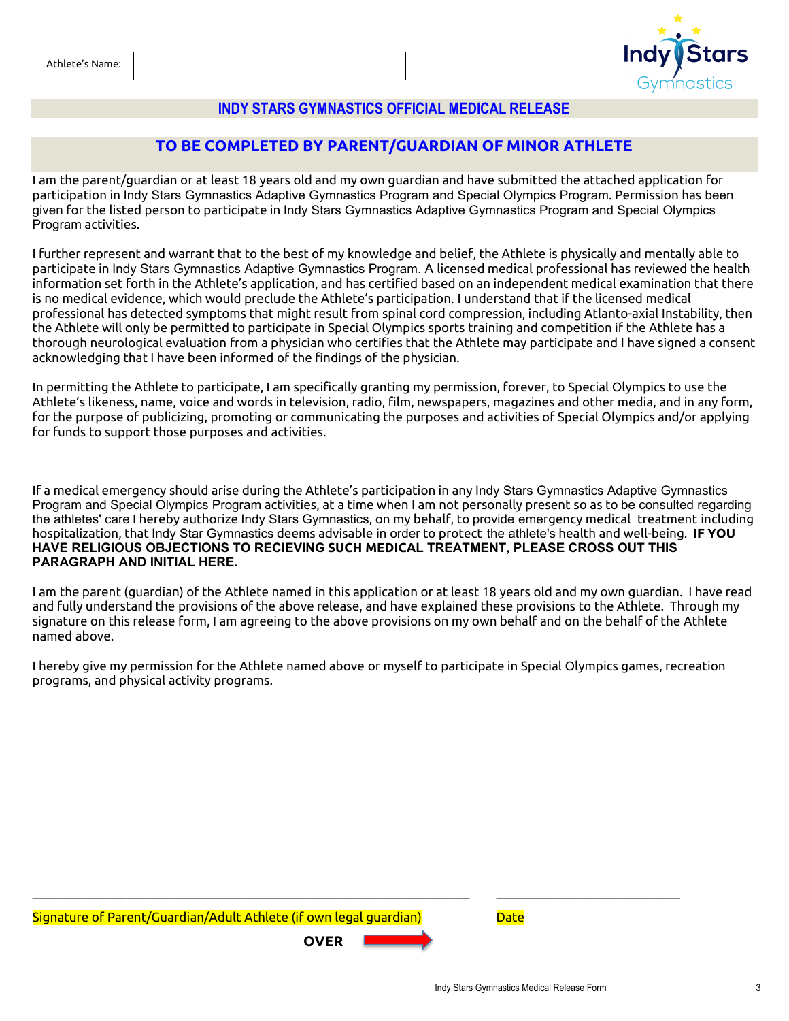

#### **INDY STARS GYMNASTICS OFFICIAL MEDICAL RELEASE**

#### **TO BE COMPLETED BY PARENT/GUARDIAN OF MINOR ATHLETE**

I am the parent/guardian or at least 18 years old and my own guardian and have submitted the attached application for participation in Indy Stars Gymnastics Adaptive Gymnastics Program and Special Olympics Program. Permission has been given for the listed person to participate in Indy Stars Gymnastics Adaptive Gymnastics Program and Special Olympics Program activities.

I further represent and warrant that to the best of my knowledge and belief, the Athlete is physically and mentally able to participate in Indy Stars Gymnastics Adaptive Gymnastics Program. A licensed medical professional has reviewed the health information set forth in the Athlete's application, and has certified based on an independent medical examination that there is no medical evidence, which would preclude the Athlete's participation. I understand that if the licensed medical professional has detected symptoms that might result from spinal cord compression, including Atlanto-axial Instability, then the Athlete will only be permitted to participate in Special Olympics sports training and competition if the Athlete has a thorough neurological evaluation from a physician who certifies that the Athlete may participate and I have signed a consent acknowledging that I have been informed of the findings of the physician.

In permitting the Athlete to participate, I am specifically granting my permission, forever, to Special Olympics to use the Athlete's likeness, name, voice and words in television, radio, film, newspapers, magazines and other media, and in any form, for the purpose of publicizing, promoting or communicating the purposes and activities of Special Olympics and/or applying for funds to support those purposes and activities.

If a medical emergency should arise during the Athlete's participation in any Indy Stars Gymnastics Adaptive Gymnastics Program and Special Olympics Program activities, at a time when I am not personally present so as to be consulted regarding the athletes' care I hereby authorize Indy Stars Gymnastics, on my behalf, to provide emergency medical treatment including hospitalization, that Indy Star Gymnastics deems advisable in order to protect the athlete's health and well-being. **IF YOU HAVE RELIGIOUS OBJECTIONS TO RECIEVING SUCH MEDICAL TREATMENT, PLEASE CROSS OUT THIS PARAGRAPH AND INITIAL HERE.**

I am the parent (guardian) of the Athlete named in this application or at least 18 years old and my own guardian. I have read and fully understand the provisions of the above release, and have explained these provisions to the Athlete. Through my signature on this release form, I am agreeing to the above provisions on my own behalf and on the behalf of the Athlete named above.

I hereby give my permission for the Athlete named above or myself to participate in Special Olympics games, recreation programs, and physical activity programs.

 $\_$  ,  $\_$  ,  $\_$  ,  $\_$  ,  $\_$  ,  $\_$  ,  $\_$  ,  $\_$  ,  $\_$  ,  $\_$  ,  $\_$  ,  $\_$  ,  $\_$  ,  $\_$  ,  $\_$  ,  $\_$  ,  $\_$  ,  $\_$  ,  $\_$  ,  $\_$  ,  $\_$  ,  $\_$  ,  $\_$  ,  $\_$  ,  $\_$  ,  $\_$  ,  $\_$  ,  $\_$  ,  $\_$  ,  $\_$  ,  $\_$  ,  $\_$  ,  $\_$  ,  $\_$  ,  $\_$  ,  $\_$  ,  $\_$  ,

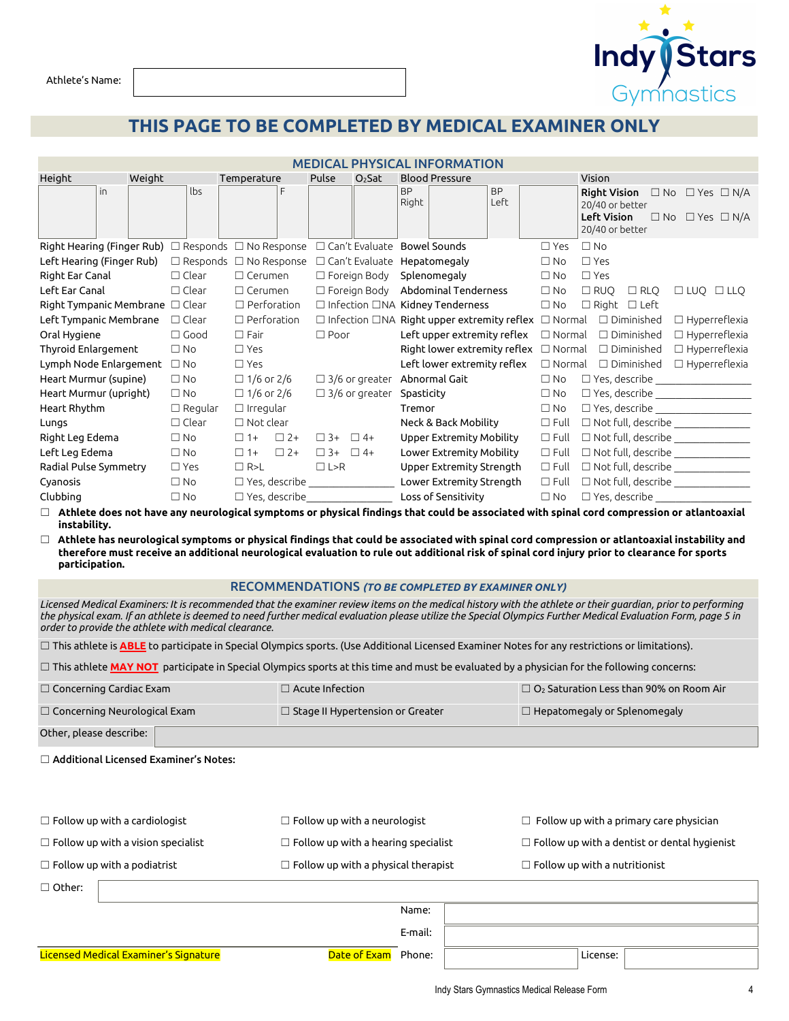**Indy Stars** 

Athlete's Name:

### **THIS PAGE TO BE COMPLETED BY MEDICAL EXAMINER ONLY**

| <b>MEDICAL PHYSICAL INFORMATION</b>                                                                                                               |                |                        |                                                                       |                                                                                         |                                                                                                                                                       |  |  |  |
|---------------------------------------------------------------------------------------------------------------------------------------------------|----------------|------------------------|-----------------------------------------------------------------------|-----------------------------------------------------------------------------------------|-------------------------------------------------------------------------------------------------------------------------------------------------------|--|--|--|
| Height<br>Weight                                                                                                                                  |                | Temperature            | Pulse<br>$O2$ Sat                                                     | <b>Blood Pressure</b>                                                                   | Vision                                                                                                                                                |  |  |  |
| in                                                                                                                                                | lbs            | F                      |                                                                       | <b>BP</b><br><b>BP</b><br>Left<br>Right                                                 | <b>Right Vision</b><br>$\Box$ No $\Box$ Yes $\Box$ N/A<br>20/40 or better<br><b>Left Vision</b><br>$\Box$ No $\Box$ Yes $\Box$ N/A<br>20/40 or better |  |  |  |
| Right Hearing (Finger Rub) $\Box$ Responds $\Box$ No Response $\Box$ Can't Evaluate Bowel Sounds                                                  |                |                        |                                                                       |                                                                                         | $\Box$ No<br>$\Box$ Yes                                                                                                                               |  |  |  |
| Left Hearing (Finger Rub)                                                                                                                         |                |                        | $\Box$ Responds $\Box$ No Response $\Box$ Can't Evaluate Hepatomegaly |                                                                                         | $\Box$ Yes<br>$\Box$ No                                                                                                                               |  |  |  |
| Right Ear Canal                                                                                                                                   | $\Box$ Clear   | $\Box$ Cerumen         | $\Box$ Foreign Body Splenomegaly                                      |                                                                                         | $\Box$ Yes<br>$\square$ No                                                                                                                            |  |  |  |
| Left Ear Canal                                                                                                                                    | $\Box$ Clear   | $\Box$ Cerumen         |                                                                       | $\Box$ Foreign Body Abdominal Tenderness                                                | $\Box$ RUO<br>$\square$ No<br>$\Box$ RLO<br>$\Box$ LUQ $\Box$ LLQ                                                                                     |  |  |  |
| Right Tympanic Membrane $\Box$ Clear                                                                                                              |                | $\Box$ Perforation     |                                                                       | $\Box$ Infection $\Box$ NA Kidney Tenderness                                            | $\square$ No<br>$\Box$ Right $\Box$ Left                                                                                                              |  |  |  |
| Left Tympanic Membrane                                                                                                                            | $\Box$ Clear   | $\Box$ Perforation     |                                                                       | $\Box$ Infection $\Box$ NA Right upper extremity reflex $\Box$ Normal $\Box$ Diminished | $\Box$ Hyperreflexia                                                                                                                                  |  |  |  |
| Oral Hygiene                                                                                                                                      | $\Box$ Good    | $\Box$ Fair            | $\Box$ Poor                                                           | Left upper extremity reflex $\Box$ Normal $\Box$ Diminished                             | $\Box$ Hyperreflexia                                                                                                                                  |  |  |  |
| <b>Thyroid Enlargement</b>                                                                                                                        | $\Box$ No      | $\Box$ Yes             |                                                                       | Right lower extremity reflex $\Box$ Normal $\Box$ Diminished                            | $\Box$ Hyperreflexia                                                                                                                                  |  |  |  |
| Lymph Node Enlargement                                                                                                                            | $\square$ No   | $\Box$ Yes             |                                                                       | Left lower extremity reflex $\Box$ Normal $\Box$ Diminished                             | $\Box$ Hyperreflexia                                                                                                                                  |  |  |  |
| Heart Murmur (supine)                                                                                                                             | $\square$ No   | $\Box$ 1/6 or 2/6      |                                                                       | $\Box$ 3/6 or greater $\,$ Abnormal Gait $\,$                                           | $\square$ No                                                                                                                                          |  |  |  |
| Heart Murmur (upright)                                                                                                                            | $\square$ No   | $\Box$ 1/6 or 2/6      | $\Box$ 3/6 or greater Spasticity                                      |                                                                                         | $\square$ No<br>$\Box$ Yes, describe ____________________                                                                                             |  |  |  |
| Heart Rhythm                                                                                                                                      | $\Box$ Regular | $\Box$ Irregular       |                                                                       | Tremor                                                                                  | $\square$ No                                                                                                                                          |  |  |  |
| Lungs                                                                                                                                             | $\Box$ Clear   | $\Box$ Not clear       |                                                                       | Neck & Back Mobility                                                                    | $\Box$ Full<br>$\Box$ Not full, describe ______________                                                                                               |  |  |  |
| Right Leg Edema                                                                                                                                   | $\square$ No   | $\Box$ 2+<br>$\Box$ 1+ | $\Box$ 3+ $\Box$ 4+                                                   | Upper Extremity Mobility                                                                | $\Box$ Not full, describe $\Box$<br>$\Box$ Full                                                                                                       |  |  |  |
| Left Leg Edema                                                                                                                                    | $\Box$ No      | $\Box$ 1+<br>$\Box$ 2+ | $\Box$ 3+ $\Box$ 4+                                                   | Lower Extremity Mobility                                                                | $\Box$ Not full, describe ______________<br>$\Box$ Full                                                                                               |  |  |  |
| Radial Pulse Symmetry                                                                                                                             | $\Box$ Yes     | $\Box$ R>L             | $\Box L > R$                                                          | Upper Extremity Strength                                                                | $\Box$ Not full, describe ______________<br>$\Box$ Full                                                                                               |  |  |  |
| Cyanosis                                                                                                                                          | $\square$ No   |                        | $\Box$ Yes, describe                                                  | Lower Extremity Strength                                                                | $\Box$ Full<br>$\Box$ Not full, describe $\Box$                                                                                                       |  |  |  |
| Clubbing                                                                                                                                          | $\Box$ No      |                        | $\Box$ Yes, describe                                                  | Loss of Sensitivity                                                                     | $\square$ No<br>$\Box$ Yes, describe                                                                                                                  |  |  |  |
| $\Box$ Athlete does not have any neurological symptoms or physical findings that could be associated with spinal cord compression or atlantoaxial |                |                        |                                                                       |                                                                                         |                                                                                                                                                       |  |  |  |

☐ **Athlete does not have any neurological symptoms or physical findings that could be associated with spinal cord compression or atlantoaxial instability.**

☐ **Athlete has neurological symptoms or physical findings that could be associated with spinal cord compression or atlantoaxial instability and therefore must receive an additional neurological evaluation to rule out additional risk of spinal cord injury prior to clearance for sports participation.**

#### RECOMMENDATIONS *(TO BE COMPLETED BY EXAMINER ONLY)*

*Licensed Medical Examiners: It is recommended that the examiner review items on the medical history with the athlete or their guardian, prior to performing the physical exam. If an athlete is deemed to need further medical evaluation please utilize the Special Olympics Further Medical Evaluation Form, page 5 in order to provide the athlete with medical clearance.*

☐ This athlete is **ABLE** to participate in Special Olympics sports. (Use Additional Licensed Examiner Notes for any restrictions or limitations).

□ This athlete MAY NOT participate in Special Olympics sports at this time and must be evaluated by a physician for the following concerns:

| $\Box$ Concerning Cardiac Exam      | $\Box$ Acute Infection $\Box$                  | $\Box$ O <sub>2</sub> Saturation Less than 90% on Room Air |  |  |
|-------------------------------------|------------------------------------------------|------------------------------------------------------------|--|--|
| $\Box$ Concerning Neurological Exam | $\Box$ Stage II Hypertension or Greater $\Box$ | $\Box$ Hepatomegaly or Splenomegaly                        |  |  |
| Other, please describe:             |                                                |                                                            |  |  |

☐ Additional Licensed Examiner's Notes:

| $\Box$ Follow up with a cardiologist      |  | $\Box$ Follow up with a neurologist        |         | $\Box$ Follow up with a primary care physician      |
|-------------------------------------------|--|--------------------------------------------|---------|-----------------------------------------------------|
| $\Box$ Follow up with a vision specialist |  | $\Box$ Follow up with a hearing specialist |         | $\Box$ Follow up with a dentist or dental hygienist |
| $\Box$ Follow up with a podiatrist        |  | $\Box$ Follow up with a physical therapist |         | $\Box$ Follow up with a nutritionist                |
| $\Box$ Other:                             |  |                                            |         |                                                     |
|                                           |  |                                            | Name:   |                                                     |
|                                           |  |                                            | E-mail: |                                                     |
| Licensed Medical Examiner's Signature     |  | Date of Exam                               | Phone:  | License:                                            |